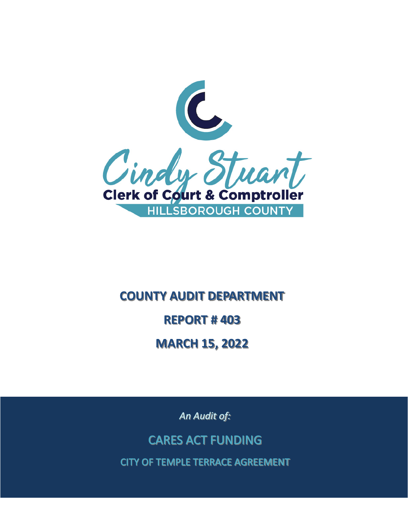

# **REPORT #403 REPORT # 403 COUNTY AUDIT DEPARTMENT COUNTY AUDIT DEPARTMENT MARCH 15, 2022 MARCH 15, 2022**

*An Audit of:* 

CARES ACT FUNDING

CITY OF TEMPLE TERRACE AGREEMENT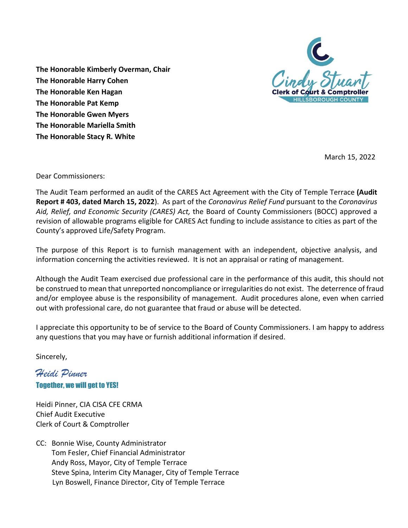

**The Honorable Harry Cohen The Honorable Kimberly Overman, Chair The Honorable Ken Hagan The Honorable Pat Kemp The Honorable Gwen Myers The Honorable Mariella Smith The Honorable Stacy R. White** 

March 15, 2022

Dear Commissioners:

 The Audit Team performed an audit of the CARES Act Agreement with the City of Temple Terrace **(Audit Report # 403, dated March 15, 2022**). As part of the *Coronavirus Relief Fund* pursuant to the *Coronavirus*  revision of allowable programs eligible for CARES Act funding to include assistance to cities as part of the *Aid, Relief, and Economic Security (CARES) Act,* the Board of County Commissioners (BOCC) approved a County's approved Life/Safety Program.

 The purpose of this Report is to furnish management with an independent, objective analysis, and information concerning the activities reviewed. It is not an appraisal or rating of management.

 be construed to mean that unreported noncompliance or irregularities do not exist. The deterrence of fraud and/or employee abuse is the responsibility of management. Audit procedures alone, even when carried out with professional care, do not guarantee that fraud or abuse will be detected. Although the Audit Team exercised due professional care in the performance of this audit, this should not

I appreciate this opportunity to be of service to the Board of County Commissioners. I am happy to address any questions that you may have or furnish additional information if desired.

Sincerely,

*Heidi Pinner*  Together, we will get to YES!

Heidi Pinner, CIA CISA CFE CRMA Chief Audit Executive Clerk of Court & Comptroller

 CC: Bonnie Wise, County Administrator Tom Fesler, Chief Financial Administrator Andy Ross, Mayor, City of Temple Terrace Steve Spina, Interim City Manager, City of Temple Terrace Lyn Boswell, Finance Director, City of Temple Terrace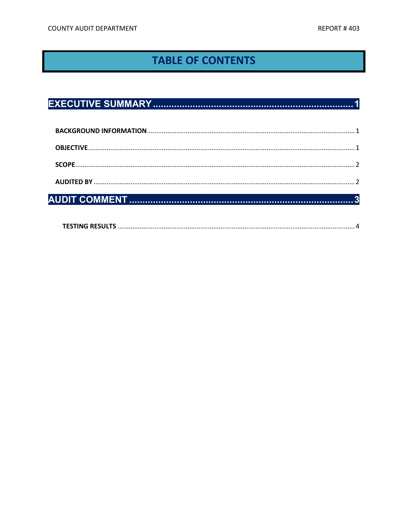# **TABLE OF CONTENTS**

|--|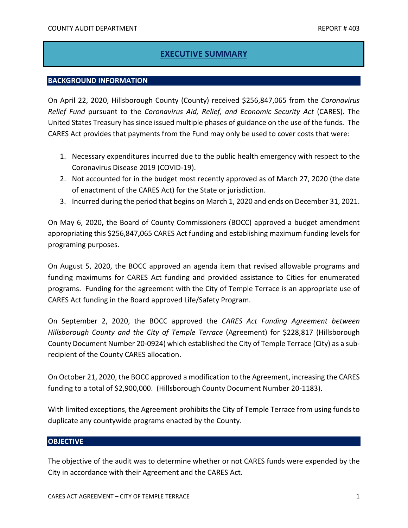## **EXECUTIVE SUMMARY**

#### <span id="page-3-1"></span><span id="page-3-0"></span>**BACKGROUND INFORMATION**

 United States Treasury has since issued multiple phases of guidance on the use of the funds. The CARES Act provides that payments from the Fund may only be used to cover costs that were: On April 22, 2020, Hillsborough County (County) received \$256,847,065 from the *Coronavirus Relief Fund* pursuant to the *Coronavirus Aid, Relief, and Economic Security Act* (CARES). The

- 1. Necessary expenditures incurred due to the public health emergency with respect to the Coronavirus Disease 2019 (COVID-19).
- of enactment of the CARES Act) for the State or jurisdiction. 2. Not accounted for in the budget most recently approved as of March 27, 2020 (the date
- 3. Incurred during the period that begins on March 1, 2020 and ends on December 31, 2021.

 appropriating this \$256,847**,**065 CARES Act funding and establishing maximum funding levels for On May 6, 2020**,** the Board of County Commissioners (BOCC) approved a budget amendment programing purposes.

 On August 5, 2020, the BOCC approved an agenda item that revised allowable programs and programs. Funding for the agreement with the City of Temple Terrace is an appropriate use of funding maximums for CARES Act funding and provided assistance to Cities for enumerated CARES Act funding in the Board approved Life/Safety Program.

On September 2, 2020, the BOCC approved the *CARES Act Funding Agreement between Hillsborough County and the City of Temple Terrace* (Agreement) for \$228,817 (Hillsborough County Document Number 20-0924) which established the City of Temple Terrace (City) as a subrecipient of the County CARES allocation.

 On October 21, 2020, the BOCC approved a modification to the Agreement, increasing the CARES funding to a total of \$2,900,000. (Hillsborough County Document Number 20-1183).

With limited exceptions, the Agreement prohibits the City of Temple Terrace from using funds to duplicate any countywide programs enacted by the County.

#### <span id="page-3-2"></span>**OBJECTIVE**

 The objective of the audit was to determine whether or not CARES funds were expended by the City in accordance with their Agreement and the CARES Act.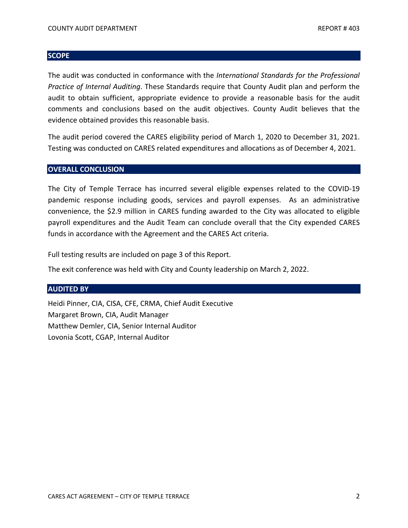#### <span id="page-4-0"></span>**SCOPE**

The audit was conducted in conformance with the *International Standards for the Professional Practice of Internal Auditing*. These Standards require that County Audit plan and perform the audit to obtain sufficient, appropriate evidence to provide a reasonable basis for the audit comments and conclusions based on the audit objectives. County Audit believes that the evidence obtained provides this reasonable basis.

 Testing was conducted on CARES related expenditures and allocations as of December 4, 2021. The audit period covered the CARES eligibility period of March 1, 2020 to December 31, 2021.

#### **OVERALL CONCLUSION**

 pandemic response including goods, services and payroll expenses. As an administrative payroll expenditures and the Audit Team can conclude overall that the City expended CARES funds in accordance with the Agreement and the CARES Act criteria. The City of Temple Terrace has incurred several eligible expenses related to the COVID-19 convenience, the \$2.9 million in CARES funding awarded to the City was allocated to eligible

Full testing results are included on page 3 of this Report.

The exit conference was held with City and County leadership on March 2, 2022.

#### <span id="page-4-1"></span>**AUDITED BY**

 Margaret Brown, CIA, Audit Manager Heidi Pinner, CIA, CISA, CFE, CRMA, Chief Audit Executive Matthew Demler, CIA, Senior Internal Auditor Lovonia Scott, CGAP, Internal Auditor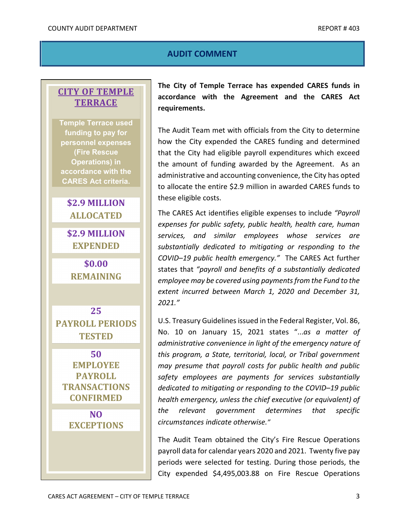## **AUDIT COMMENT**

# <span id="page-5-0"></span> **TERRACE CITY OF TEMPLE**

**Temple Terrace used funding to pay for personnel expenses (Fire Rescue Operations) in accordance with the CARES Act criteria.** 

# **\$2.9 MILLION ALLOCATED**

 **\$2.9 MILLION EXPENDED** 

**\$0.00 REMAINING** 

**25 PAYROLL PERIODS TESTED** 

**50 EMPLOYEE PAYROLL TRANSACTIONS CONFIRMED** 

> **NO EXCEPTIONS**

 **requirements. The City of Temple Terrace has expended CARES funds in accordance with the Agreement and the CARES Act** 

 The Audit Team met with officials from the City to determine the amount of funding awarded by the Agreement. As an administrative and accounting convenience, the City has opted to allocate the entire \$2.9 million in awarded CARES funds to these eligible costs. how the City expended the CARES funding and determined that the City had eligible payroll expenditures which exceed

 *COVID–19 public health emergency."* The CARES Act further The CARES Act identifies eligible expenses to include *"Payroll expenses for public safety, public health, health care, human services, and similar employees whose services are substantially dedicated to mitigating or responding to the*  states that *"payroll and benefits of a substantially dedicated employee may be covered using payments from the Fund to the extent incurred between March 1, 2020 and December 31, 2021."* 

 U.S. Treasury Guidelines issued in the Federal Register, Vol. 86,  *administrative convenience in light of the emergency nature of*  No. 10 on January 15, 2021 states "...*as a matter of this program, a State, territorial, local, or Tribal government may presume that payroll costs for public health and public safety employees are payments for services substantially dedicated to mitigating or responding to the COVID–19 public health emergency, unless the chief executive (or equivalent) of the relevant government determines that specific circumstances indicate otherwise."* 

 periods were selected for testing. During those periods, the The Audit Team obtained the City's Fire Rescue Operations payroll data for calendar years 2020 and 2021. Twenty five pay City expended \$4,495,003.88 on Fire Rescue Operations